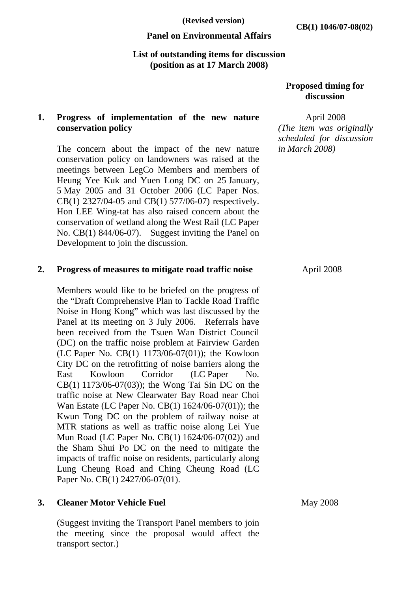### **Panel on Environmental Affairs**

#### **List of outstanding items for discussion (position as at 17 March 2008)**

# **Proposed timing for discussion**

# **1. Progress of implementation of the new nature conservation policy**

The concern about the impact of the new nature conservation policy on landowners was raised at the meetings between LegCo Members and members of Heung Yee Kuk and Yuen Long DC on 25 January, 5 May 2005 and 31 October 2006 (LC Paper Nos. CB(1) 2327/04-05 and CB(1) 577/06-07) respectively. Hon LEE Wing-tat has also raised concern about the conservation of wetland along the West Rail (LC Paper No. CB(1) 844/06-07). Suggest inviting the Panel on Development to join the discussion.

#### **2. Progress of measures to mitigate road traffic noise**

Members would like to be briefed on the progress of the "Draft Comprehensive Plan to Tackle Road Traffic Noise in Hong Kong" which was last discussed by the Panel at its meeting on 3 July 2006. Referrals have been received from the Tsuen Wan District Council (DC) on the traffic noise problem at Fairview Garden (LC Paper No. CB(1) 1173/06-07(01)); the Kowloon City DC on the retrofitting of noise barriers along the East Kowloon Corridor (LC Paper No. CB(1) 1173/06-07(03)); the Wong Tai Sin DC on the traffic noise at New Clearwater Bay Road near Choi Wan Estate (LC Paper No. CB(1) 1624/06-07(01)); the Kwun Tong DC on the problem of railway noise at MTR stations as well as traffic noise along Lei Yue Mun Road (LC Paper No. CB(1) 1624/06-07(02)) and the Sham Shui Po DC on the need to mitigate the impacts of traffic noise on residents, particularly along Lung Cheung Road and Ching Cheung Road (LC Paper No. CB(1) 2427/06-07(01).

# **3. Cleaner Motor Vehicle Fuel**

(Suggest inviting the Transport Panel members to join the meeting since the proposal would affect the transport sector.)

April 2008 *(The item was originally scheduled for discussion in March 2008)* 

April 2008

May 2008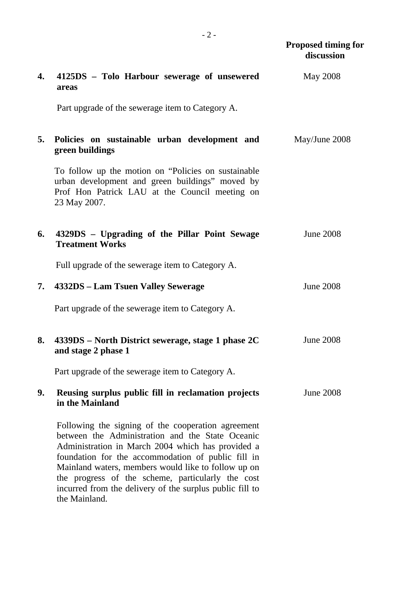|    |                                                                                                                                                                                                                                                                                                                               | <b>Proposed timing for</b><br>discussion |
|----|-------------------------------------------------------------------------------------------------------------------------------------------------------------------------------------------------------------------------------------------------------------------------------------------------------------------------------|------------------------------------------|
| 4. | 4125DS - Tolo Harbour sewerage of unsewered<br>areas                                                                                                                                                                                                                                                                          | <b>May 2008</b>                          |
|    | Part upgrade of the sewerage item to Category A.                                                                                                                                                                                                                                                                              |                                          |
| 5. | Policies on sustainable urban development and<br>green buildings                                                                                                                                                                                                                                                              | May/June 2008                            |
|    | To follow up the motion on "Policies on sustainable"<br>urban development and green buildings" moved by<br>Prof Hon Patrick LAU at the Council meeting on<br>23 May 2007.                                                                                                                                                     |                                          |
| 6. | 4329DS - Upgrading of the Pillar Point Sewage<br><b>Treatment Works</b>                                                                                                                                                                                                                                                       | <b>June 2008</b>                         |
|    | Full upgrade of the sewerage item to Category A.                                                                                                                                                                                                                                                                              |                                          |
| 7. | 4332DS – Lam Tsuen Valley Sewerage                                                                                                                                                                                                                                                                                            | <b>June 2008</b>                         |
|    | Part upgrade of the sewerage item to Category A.                                                                                                                                                                                                                                                                              |                                          |
| 8. | $4339DS$ – North District sewerage, stage 1 phase 2C<br>and stage 2 phase 1                                                                                                                                                                                                                                                   | <b>June 2008</b>                         |
|    | Part upgrade of the sewerage item to Category A.                                                                                                                                                                                                                                                                              |                                          |
| 9. | Reusing surplus public fill in reclamation projects<br>in the Mainland                                                                                                                                                                                                                                                        | <b>June 2008</b>                         |
|    | Following the signing of the cooperation agreement<br>between the Administration and the State Oceanic<br>Administration in March 2004 which has provided a<br>foundation for the accommodation of public fill in<br>Mainland waters, members would like to follow up on<br>the progress of the scheme, particularly the cost |                                          |

incurred from the delivery of the surplus public fill to

the Mainland.